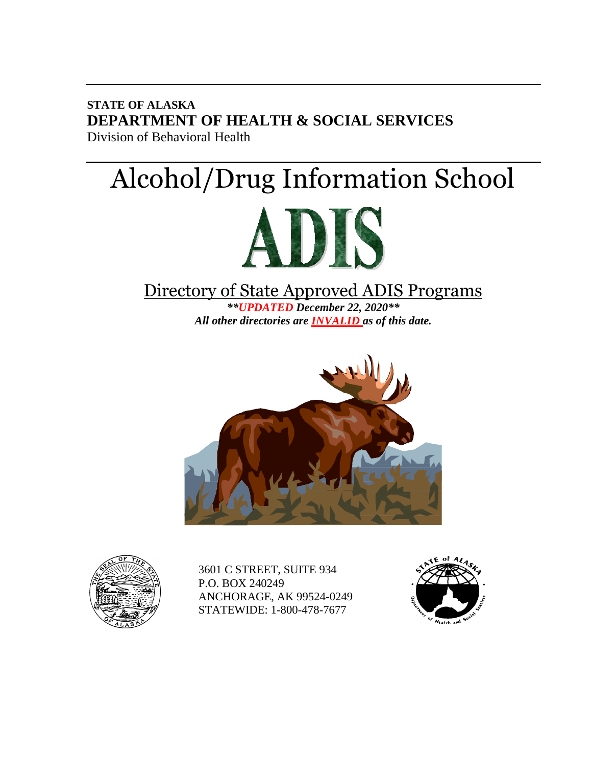**STATE OF ALASKA DEPARTMENT OF HEALTH & SOCIAL SERVICES** Division of Behavioral Health

# Alcohol/Drug Information School



### Directory of State Approved ADIS Programs

*\*\*UPDATED December 22, 2020\*\* All other directories are INVALID as of this date.*





3601 C STREET, SUITE 934 P.O. BOX 240249 ANCHORAGE, AK 99524-0249 STATEWIDE: 1-800-478-7677

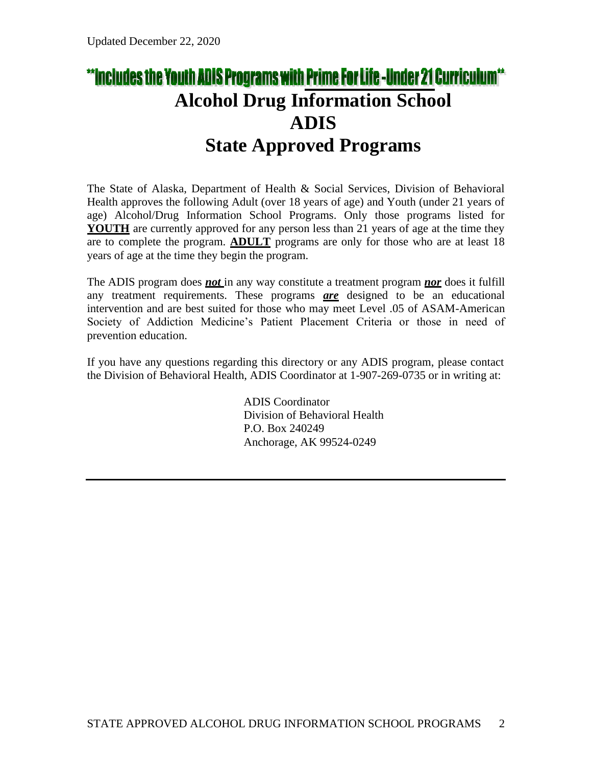### \*\*Includes the Youth ADIS Programs with Prime For Life -Under 21 Curriculum\*\* **Alcohol Drug Information School ADIS State Approved Programs**

The State of Alaska, Department of Health & Social Services, Division of Behavioral Health approves the following Adult (over 18 years of age) and Youth (under 21 years of age) Alcohol/Drug Information School Programs. Only those programs listed for **YOUTH** are currently approved for any person less than 21 years of age at the time they are to complete the program. **ADULT** programs are only for those who are at least 18 years of age at the time they begin the program.

The ADIS program does *not* in any way constitute a treatment program *nor* does it fulfill any treatment requirements. These programs *are* designed to be an educational intervention and are best suited for those who may meet Level .05 of ASAM-American Society of Addiction Medicine's Patient Placement Criteria or those in need of prevention education.

If you have any questions regarding this directory or any ADIS program, please contact the Division of Behavioral Health, ADIS Coordinator at 1-907-269-0735 or in writing at:

> ADIS Coordinator Division of Behavioral Health P.O. Box 240249 Anchorage, AK 99524-0249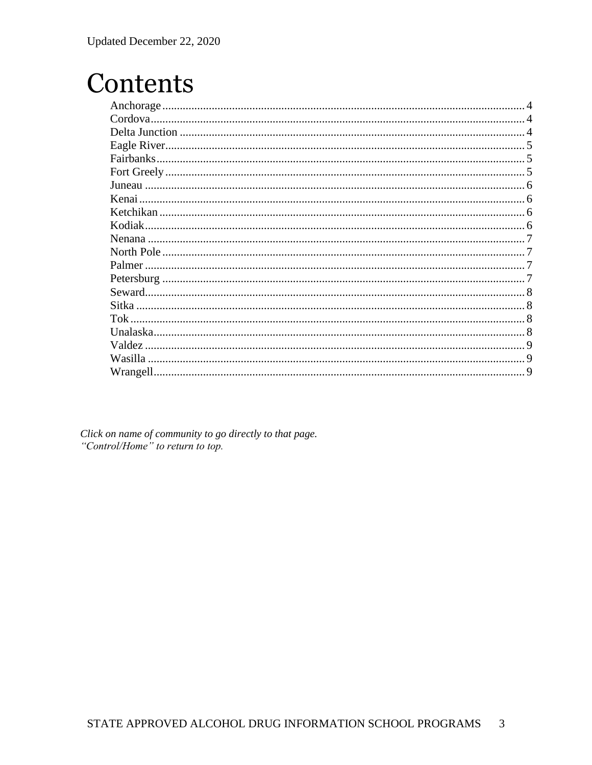### Contents

| Cordova. |  |
|----------|--|
|          |  |
|          |  |
|          |  |
|          |  |
|          |  |
|          |  |
|          |  |
| Kodiak.  |  |
|          |  |
|          |  |
|          |  |
|          |  |
|          |  |
|          |  |
|          |  |
|          |  |
| Valdez.  |  |
|          |  |
|          |  |
|          |  |

Click on name of community to go directly to that page. "Control/Home" to return to top.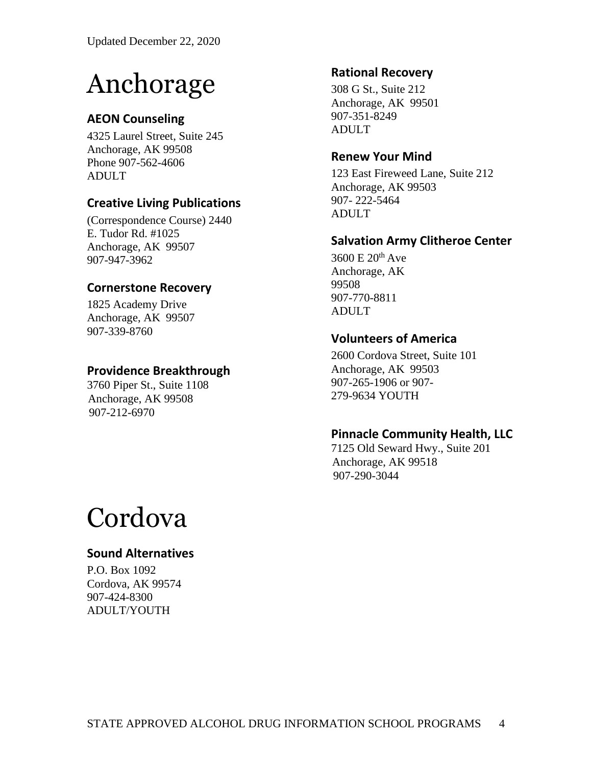# Anchorage

#### **AEON Counseling**

4325 Laurel Street, Suite 245 Anchorage, AK 99508 Phone 907-562-4606 ADULT

#### **Creative Living Publications**

(Correspondence Course) 2440 E. Tudor Rd. #1025 Anchorage, AK 99507 907-947-3962

#### **Cornerstone Recovery**

1825 Academy Drive Anchorage, AK 99507 907-339-8760

#### **Providence Breakthrough**

3760 Piper St., Suite 1108 Anchorage, AK 99508 907-212-6970

#### **Rational Recovery**

308 G St., Suite 212 Anchorage, AK 99501 907-351-8249 ADULT

#### **Renew Your Mind**

123 East Fireweed Lane, Suite 212 Anchorage, AK 99503 907- 222-5464 ADULT

#### **Salvation Army Clitheroe Center**

 $3600 \text{ E } 20^{\text{th}}$  Ave Anchorage, AK 99508 907-770-8811 ADULT

#### **Volunteers of America**

2600 Cordova Street, Suite 101 Anchorage, AK 99503 907-265-1906 or 907- 279-9634 YOUTH

#### **Pinnacle Community Health, LLC**

7125 Old Seward Hwy., Suite 201 Anchorage, AK 99518 907-290-3044

### Cordova

#### **Sound Alternatives**

P.O. Box 1092 Cordova, AK 99574 907-424-8300 ADULT/YOUTH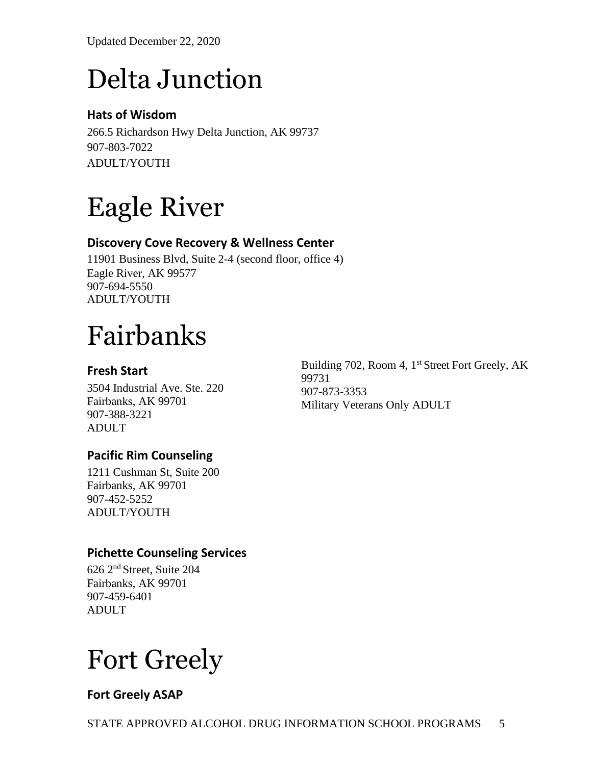Updated December 22, 2020

# Delta Junction

#### **Hats of Wisdom**

266.5 Richardson Hwy Delta Junction, AK 99737 907-803-7022 ADULT/YOUTH

# Eagle River

#### **Discovery Cove Recovery & Wellness Center**

11901 Business Blvd, Suite 2-4 (second floor, office 4) Eagle River, AK 99577 907-694-5550 ADULT/YOUTH

# Fairbanks

#### **Fresh Start**

3504 Industrial Ave. Ste. 220 Fairbanks, AK 99701 907-388-3221 ADULT

#### **Pacific Rim Counseling**

1211 Cushman St, Suite 200 Fairbanks, AK 99701 907-452-5252 ADULT/YOUTH

#### **Pichette Counseling Services**

626 2nd Street, Suite 204 Fairbanks, AK 99701 907-459-6401 ADULT

## Fort Greely

#### **Fort Greely ASAP**

Building 702, Room 4, 1<sup>st</sup> Street Fort Greely, AK 99731 907-873-3353 Military Veterans Only ADULT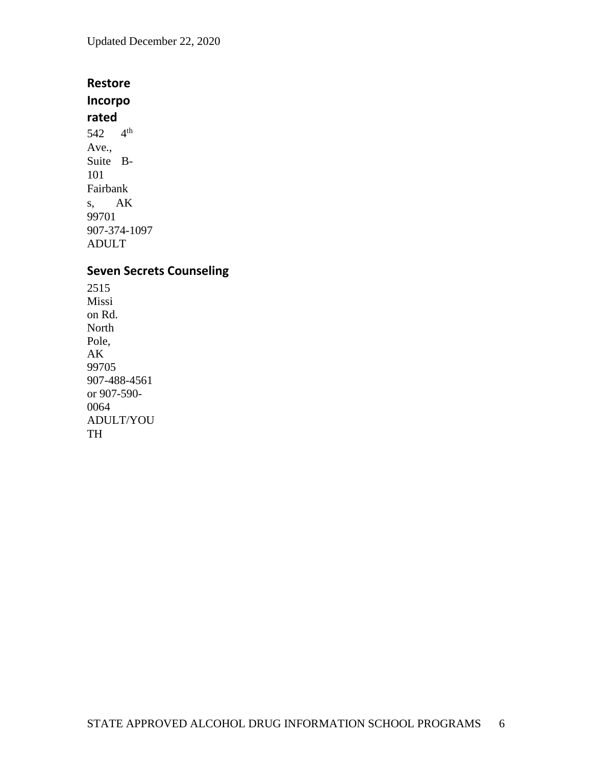Updated December 22, 2020

#### **Restore**

**Incorpo rated**  542 4th Ave., Suite B-101 Fairbank s, AK 99701 907-374-1097 ADULT

#### **Seven Secrets Counseling**

2515 Missi on Rd. North Pole, AK 99705 907-488-4561 or 907-590- 0064 ADULT/YOU TH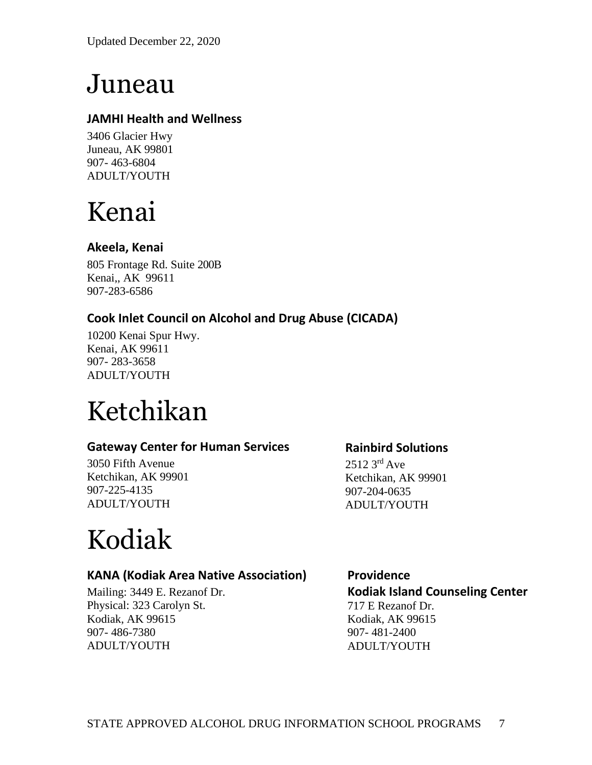### Juneau

#### **JAMHI Health and Wellness**

3406 Glacier Hwy Juneau, AK 99801 907- 463-6804 ADULT/YOUTH

### Kenai

#### **Akeela, Kenai**

805 Frontage Rd. Suite 200B Kenai,, AK 99611 907-283-6586

#### **Cook Inlet Council on Alcohol and Drug Abuse (CICADA)**

10200 Kenai Spur Hwy. Kenai, AK 99611 907- 283-3658 ADULT/YOUTH

## Ketchikan

#### **Gateway Center for Human Services**

3050 Fifth Avenue Ketchikan, AK 99901 907-225-4135 ADULT/YOUTH

### **Rainbird Solutions**

2512 3<sup>rd</sup> Ave Ketchikan, AK 99901 907-204-0635 ADULT/YOUTH

# Kodiak

#### **KANA (Kodiak Area Native Association)**

Mailing: 3449 E. Rezanof Dr. Physical: 323 Carolyn St. Kodiak, AK 99615 907- 486-7380 ADULT/YOUTH

**Providence Kodiak Island Counseling Center** 717 E Rezanof Dr. Kodiak, AK 99615 907- 481-2400 ADULT/YOUTH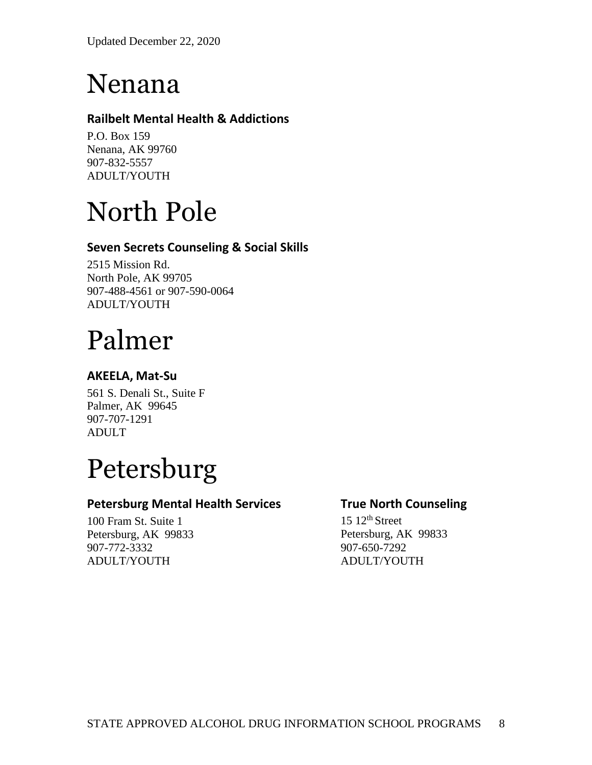### Nenana

#### **Railbelt Mental Health & Addictions**

P.O. Box 159 Nenana, AK 99760 907-832-5557 ADULT/YOUTH

# North Pole

#### **Seven Secrets Counseling & Social Skills**

2515 Mission Rd. North Pole, AK 99705 907-488-4561 or 907-590-0064 ADULT/YOUTH

## Palmer

#### **AKEELA, Mat-Su**

561 S. Denali St., Suite F Palmer, AK 99645 907-707-1291 ADULT

## Petersburg

#### **Petersburg Mental Health Services**

100 Fram St. Suite 1 Petersburg, AK 99833 907-772-3332 ADULT/YOUTH

#### **True North Counseling**

 $15 \frac{12^{th}}{3}$  Street Petersburg, AK 99833 907-650-7292 ADULT/YOUTH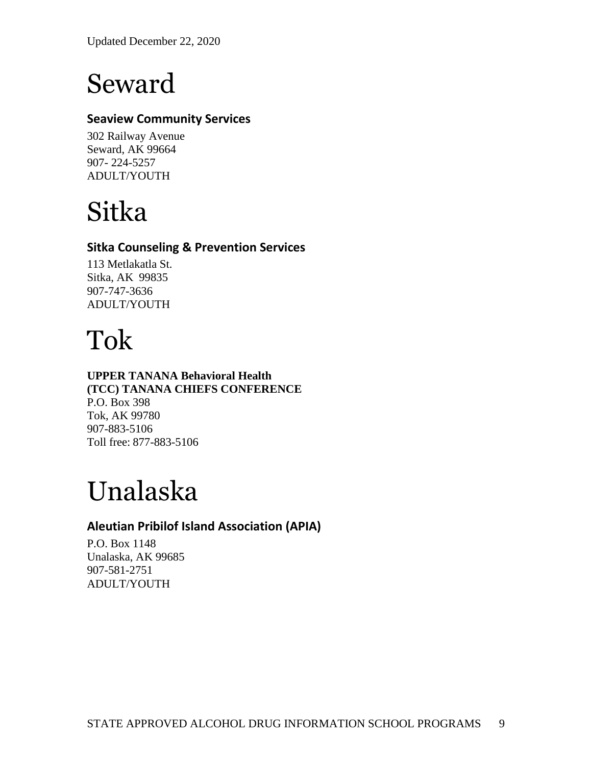Updated December 22, 2020

### Seward

#### **Seaview Community Services**

302 Railway Avenue Seward, AK 99664 907- 224-5257 ADULT/YOUTH

### Sitka

#### **Sitka Counseling & Prevention Services**

113 Metlakatla St. Sitka, AK 99835 907-747-3636 ADULT/YOUTH

### Tok

#### **UPPER TANANA Behavioral Health (TCC) TANANA CHIEFS CONFERENCE** P.O. Box 398 Tok, AK 99780 907-883-5106 Toll free: 877-883-5106

# Unalaska

#### **Aleutian Pribilof Island Association (APIA)**

P.O. Box 1148 Unalaska, AK 99685 907-581-2751 ADULT/YOUTH